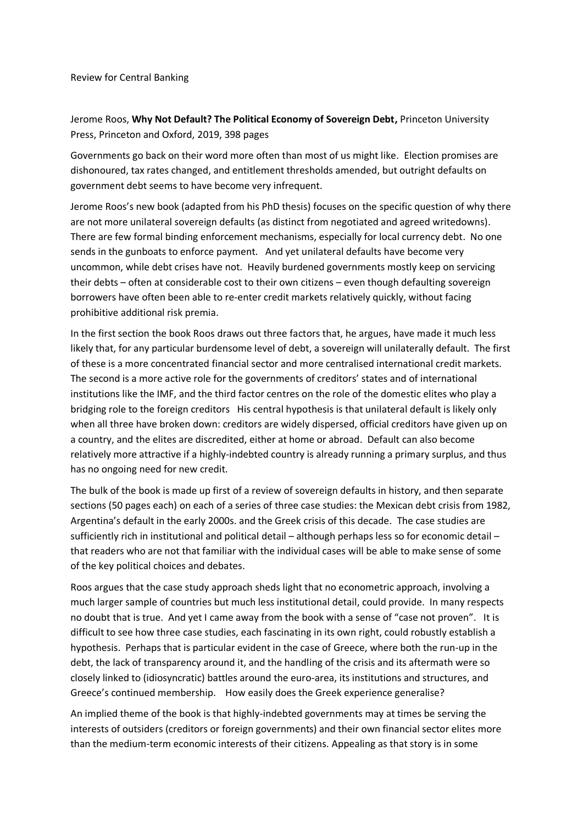Review for Central Banking

Jerome Roos, **Why Not Default? The Political Economy of Sovereign Debt,** Princeton University Press, Princeton and Oxford, 2019, 398 pages

Governments go back on their word more often than most of us might like. Election promises are dishonoured, tax rates changed, and entitlement thresholds amended, but outright defaults on government debt seems to have become very infrequent.

Jerome Roos's new book (adapted from his PhD thesis) focuses on the specific question of why there are not more unilateral sovereign defaults (as distinct from negotiated and agreed writedowns). There are few formal binding enforcement mechanisms, especially for local currency debt. No one sends in the gunboats to enforce payment. And yet unilateral defaults have become very uncommon, while debt crises have not. Heavily burdened governments mostly keep on servicing their debts – often at considerable cost to their own citizens – even though defaulting sovereign borrowers have often been able to re-enter credit markets relatively quickly, without facing prohibitive additional risk premia.

In the first section the book Roos draws out three factors that, he argues, have made it much less likely that, for any particular burdensome level of debt, a sovereign will unilaterally default. The first of these is a more concentrated financial sector and more centralised international credit markets. The second is a more active role for the governments of creditors' states and of international institutions like the IMF, and the third factor centres on the role of the domestic elites who play a bridging role to the foreign creditors His central hypothesis is that unilateral default is likely only when all three have broken down: creditors are widely dispersed, official creditors have given up on a country, and the elites are discredited, either at home or abroad. Default can also become relatively more attractive if a highly-indebted country is already running a primary surplus, and thus has no ongoing need for new credit.

The bulk of the book is made up first of a review of sovereign defaults in history, and then separate sections (50 pages each) on each of a series of three case studies: the Mexican debt crisis from 1982, Argentina's default in the early 2000s. and the Greek crisis of this decade. The case studies are sufficiently rich in institutional and political detail – although perhaps less so for economic detail – that readers who are not that familiar with the individual cases will be able to make sense of some of the key political choices and debates.

Roos argues that the case study approach sheds light that no econometric approach, involving a much larger sample of countries but much less institutional detail, could provide. In many respects no doubt that is true. And yet I came away from the book with a sense of "case not proven". It is difficult to see how three case studies, each fascinating in its own right, could robustly establish a hypothesis. Perhaps that is particular evident in the case of Greece, where both the run-up in the debt, the lack of transparency around it, and the handling of the crisis and its aftermath were so closely linked to (idiosyncratic) battles around the euro-area, its institutions and structures, and Greece's continued membership. How easily does the Greek experience generalise?

An implied theme of the book is that highly-indebted governments may at times be serving the interests of outsiders (creditors or foreign governments) and their own financial sector elites more than the medium-term economic interests of their citizens. Appealing as that story is in some